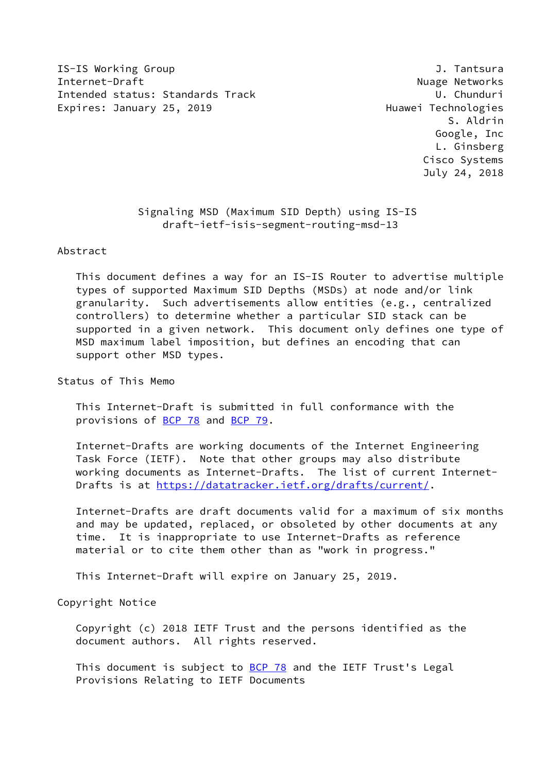IS-IS Working Group J. Tantsura Internet-Draft **Nuage Networks** Nuage Networks Intended status: Standards Track U. Chunduri Expires: January 25, 2019 **Expires: January 25, 2019** 

 S. Aldrin Google, Inc L. Ginsberg Cisco Systems July 24, 2018

 Signaling MSD (Maximum SID Depth) using IS-IS draft-ietf-isis-segment-routing-msd-13

Abstract

 This document defines a way for an IS-IS Router to advertise multiple types of supported Maximum SID Depths (MSDs) at node and/or link granularity. Such advertisements allow entities (e.g., centralized controllers) to determine whether a particular SID stack can be supported in a given network. This document only defines one type of MSD maximum label imposition, but defines an encoding that can support other MSD types.

Status of This Memo

 This Internet-Draft is submitted in full conformance with the provisions of [BCP 78](https://datatracker.ietf.org/doc/pdf/bcp78) and [BCP 79](https://datatracker.ietf.org/doc/pdf/bcp79).

 Internet-Drafts are working documents of the Internet Engineering Task Force (IETF). Note that other groups may also distribute working documents as Internet-Drafts. The list of current Internet- Drafts is at<https://datatracker.ietf.org/drafts/current/>.

 Internet-Drafts are draft documents valid for a maximum of six months and may be updated, replaced, or obsoleted by other documents at any time. It is inappropriate to use Internet-Drafts as reference material or to cite them other than as "work in progress."

This Internet-Draft will expire on January 25, 2019.

Copyright Notice

 Copyright (c) 2018 IETF Trust and the persons identified as the document authors. All rights reserved.

This document is subject to [BCP 78](https://datatracker.ietf.org/doc/pdf/bcp78) and the IETF Trust's Legal Provisions Relating to IETF Documents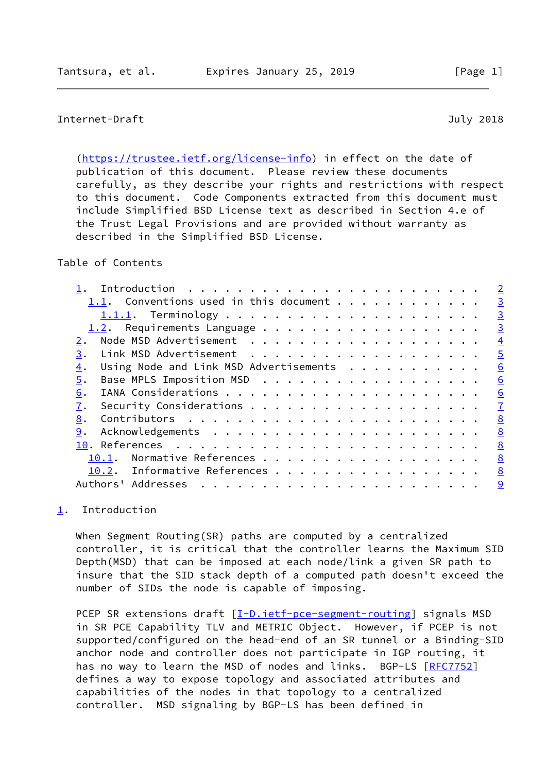# <span id="page-1-1"></span>Internet-Draft July 2018

 [\(https://trustee.ietf.org/license-info](https://trustee.ietf.org/license-info)) in effect on the date of publication of this document. Please review these documents carefully, as they describe your rights and restrictions with respect to this document. Code Components extracted from this document must include Simplified BSD License text as described in Section 4.e of the Trust Legal Provisions and are provided without warranty as described in the Simplified BSD License.

### Table of Contents

| Introduction                                 |                |
|----------------------------------------------|----------------|
| 1.1. Conventions used in this document       | $\overline{3}$ |
|                                              | $\overline{3}$ |
| 1.2. Requirements Language                   | $\overline{3}$ |
|                                              | $\overline{4}$ |
| 3.                                           | $\overline{5}$ |
| Using Node and Link MSD Advertisements<br>4. | 6              |
| Base MPLS Imposition MSD<br>5.               | 6              |
| 6.                                           | 6              |
| 7.                                           | $\mathbf{Z}$   |
| 8.                                           | 8              |
| 9.                                           | 8              |
|                                              | 8              |
| 10.1.                                        | 8              |
| 10.2. Informative References                 | 8              |
| Authors' Addresses<br>.                      | 9              |
|                                              |                |

## <span id="page-1-0"></span>[1](#page-1-0). Introduction

 When Segment Routing(SR) paths are computed by a centralized controller, it is critical that the controller learns the Maximum SID Depth(MSD) that can be imposed at each node/link a given SR path to insure that the SID stack depth of a computed path doesn't exceed the number of SIDs the node is capable of imposing.

PCEP SR extensions draft [\[I-D.ietf-pce-segment-routing](#page-9-1)] signals MSD in SR PCE Capability TLV and METRIC Object. However, if PCEP is not supported/configured on the head-end of an SR tunnel or a Binding-SID anchor node and controller does not participate in IGP routing, it has no way to learn the MSD of nodes and links. BGP-LS [\[RFC7752](https://datatracker.ietf.org/doc/pdf/rfc7752)] defines a way to expose topology and associated attributes and capabilities of the nodes in that topology to a centralized controller. MSD signaling by BGP-LS has been defined in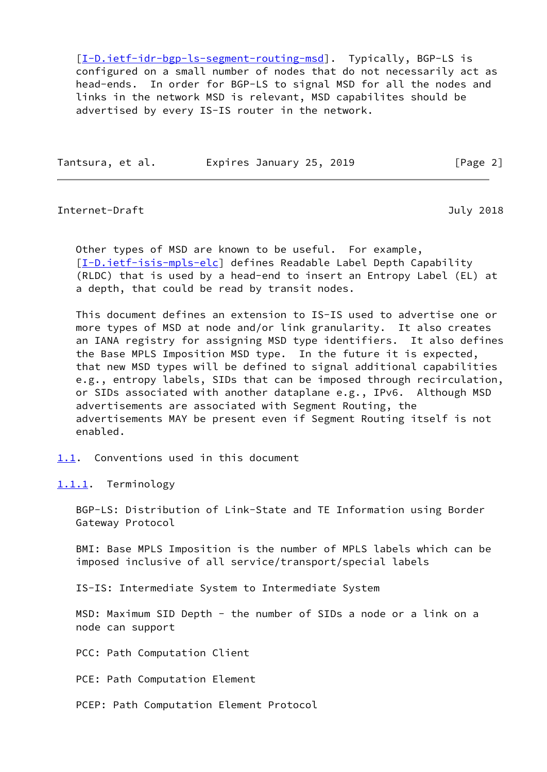[\[I-D.ietf-idr-bgp-ls-segment-routing-msd](#page-8-4)]. Typically, BGP-LS is configured on a small number of nodes that do not necessarily act as head-ends. In order for BGP-LS to signal MSD for all the nodes and links in the network MSD is relevant, MSD capabilites should be advertised by every IS-IS router in the network.

Tantsura, et al. 
Expires January 25, 2019  $\begin{bmatrix} \text{Page 2} \end{bmatrix}$ 

#### <span id="page-2-1"></span>Internet-Draft July 2018

 Other types of MSD are known to be useful. For example, [\[I-D.ietf-isis-mpls-elc](#page-8-5)] defines Readable Label Depth Capability (RLDC) that is used by a head-end to insert an Entropy Label (EL) at a depth, that could be read by transit nodes.

 This document defines an extension to IS-IS used to advertise one or more types of MSD at node and/or link granularity. It also creates an IANA registry for assigning MSD type identifiers. It also defines the Base MPLS Imposition MSD type. In the future it is expected, that new MSD types will be defined to signal additional capabilities e.g., entropy labels, SIDs that can be imposed through recirculation, or SIDs associated with another dataplane e.g., IPv6. Although MSD advertisements are associated with Segment Routing, the advertisements MAY be present even if Segment Routing itself is not enabled.

<span id="page-2-0"></span>[1.1](#page-2-0). Conventions used in this document

<span id="page-2-2"></span>[1.1.1](#page-2-2). Terminology

 BGP-LS: Distribution of Link-State and TE Information using Border Gateway Protocol

 BMI: Base MPLS Imposition is the number of MPLS labels which can be imposed inclusive of all service/transport/special labels

IS-IS: Intermediate System to Intermediate System

 MSD: Maximum SID Depth - the number of SIDs a node or a link on a node can support

PCC: Path Computation Client

PCE: Path Computation Element

PCEP: Path Computation Element Protocol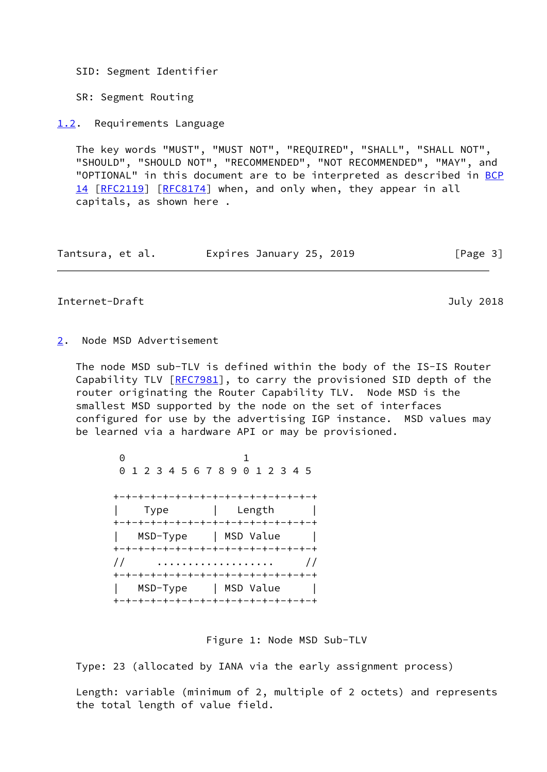SID: Segment Identifier

SR: Segment Routing

<span id="page-3-0"></span>[1.2](#page-3-0). Requirements Language

 The key words "MUST", "MUST NOT", "REQUIRED", "SHALL", "SHALL NOT", "SHOULD", "SHOULD NOT", "RECOMMENDED", "NOT RECOMMENDED", "MAY", and "OPTIONAL" in this document are to be interpreted as described in [BCP](https://datatracker.ietf.org/doc/pdf/bcp14) [14](https://datatracker.ietf.org/doc/pdf/bcp14) [[RFC2119\]](https://datatracker.ietf.org/doc/pdf/rfc2119) [\[RFC8174](https://datatracker.ietf.org/doc/pdf/rfc8174)] when, and only when, they appear in all capitals, as shown here .

| Tantsura, et al. | Expires January 25, 2019 | [Page 3] |
|------------------|--------------------------|----------|
|------------------|--------------------------|----------|

<span id="page-3-2"></span>Internet-Draft July 2018

<span id="page-3-1"></span>[2](#page-3-1). Node MSD Advertisement

 The node MSD sub-TLV is defined within the body of the IS-IS Router Capability TLV [\[RFC7981](https://datatracker.ietf.org/doc/pdf/rfc7981)], to carry the provisioned SID depth of the router originating the Router Capability TLV. Node MSD is the smallest MSD supported by the node on the set of interfaces configured for use by the advertising IGP instance. MSD values may be learned via a hardware API or may be provisioned.

 0 1 0 1 2 3 4 5 6 7 8 9 0 1 2 3 4 5 +-+-+-+-+-+-+-+-+-+-+-+-+-+-+-+-+ | Type | Length | +-+-+-+-+-+-+-+-+-+-+-+-+-+-+-+-+ | MSD-Type | MSD Value | +-+-+-+-+-+-+-+-+-+-+-+-+-+-+-+-+ // ................... // +-+-+-+-+-+-+-+-+-+-+-+-+-+-+-+-+ | MSD-Type | MSD Value | +-+-+-+-+-+-+-+-+-+-+-+-+-+-+-+-+

Figure 1: Node MSD Sub-TLV

Type: 23 (allocated by IANA via the early assignment process)

 Length: variable (minimum of 2, multiple of 2 octets) and represents the total length of value field.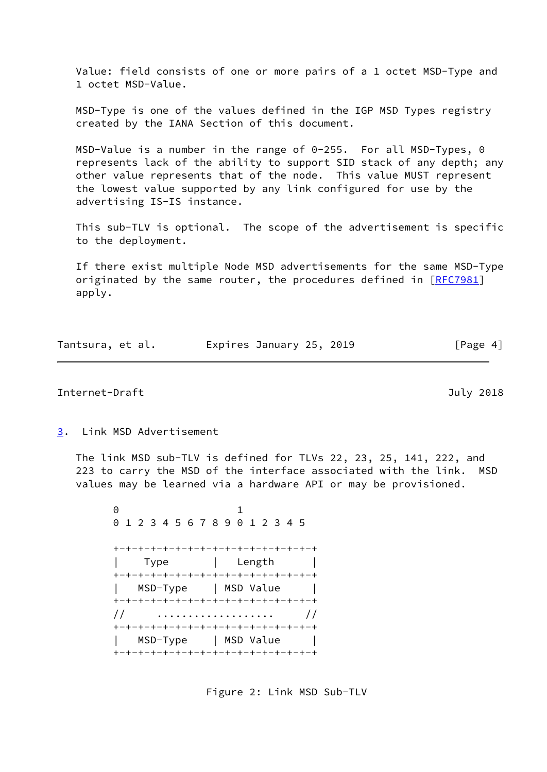Value: field consists of one or more pairs of a 1 octet MSD-Type and 1 octet MSD-Value.

 MSD-Type is one of the values defined in the IGP MSD Types registry created by the IANA Section of this document.

 MSD-Value is a number in the range of 0-255. For all MSD-Types, 0 represents lack of the ability to support SID stack of any depth; any other value represents that of the node. This value MUST represent the lowest value supported by any link configured for use by the advertising IS-IS instance.

 This sub-TLV is optional. The scope of the advertisement is specific to the deployment.

 If there exist multiple Node MSD advertisements for the same MSD-Type originated by the same router, the procedures defined in [\[RFC7981](https://datatracker.ietf.org/doc/pdf/rfc7981)] apply.

| Tantsura, et al. | Expires January 25, 2019 | [Page 4] |
|------------------|--------------------------|----------|
|------------------|--------------------------|----------|

<span id="page-4-1"></span>Internet-Draft July 2018

<span id="page-4-0"></span>[3](#page-4-0). Link MSD Advertisement

 The link MSD sub-TLV is defined for TLVs 22, 23, 25, 141, 222, and 223 to carry the MSD of the interface associated with the link. MSD values may be learned via a hardware API or may be provisioned.

 0 1 0 1 2 3 4 5 6 7 8 9 0 1 2 3 4 5 +-+-+-+-+-+-+-+-+-+-+-+-+-+-+-+-+ | Type | Length | +-+-+-+-+-+-+-+-+-+-+-+-+-+-+-+-+ | MSD-Type | MSD Value | +-+-+-+-+-+-+-+-+-+-+-+-+-+-+-+-+ // ................... // +-+-+-+-+-+-+-+-+-+-+-+-+-+-+-+-+ | MSD-Type | MSD Value | +-+-+-+-+-+-+-+-+-+-+-+-+-+-+-+-+

Figure 2: Link MSD Sub-TLV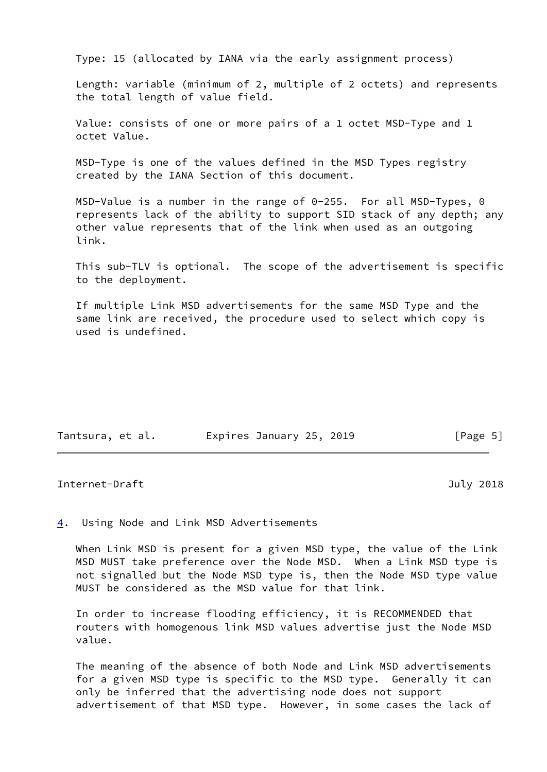Type: 15 (allocated by IANA via the early assignment process)

 Length: variable (minimum of 2, multiple of 2 octets) and represents the total length of value field.

 Value: consists of one or more pairs of a 1 octet MSD-Type and 1 octet Value.

 MSD-Type is one of the values defined in the MSD Types registry created by the IANA Section of this document.

 MSD-Value is a number in the range of 0-255. For all MSD-Types, 0 represents lack of the ability to support SID stack of any depth; any other value represents that of the link when used as an outgoing link.

 This sub-TLV is optional. The scope of the advertisement is specific to the deployment.

 If multiple Link MSD advertisements for the same MSD Type and the same link are received, the procedure used to select which copy is used is undefined.

| Tantsura, et al. | Expires January 25, 2019 | [Page 5] |
|------------------|--------------------------|----------|
|------------------|--------------------------|----------|

#### <span id="page-5-1"></span>Internet-Draft July 2018

<span id="page-5-0"></span>[4](#page-5-0). Using Node and Link MSD Advertisements

 When Link MSD is present for a given MSD type, the value of the Link MSD MUST take preference over the Node MSD. When a Link MSD type is not signalled but the Node MSD type is, then the Node MSD type value MUST be considered as the MSD value for that link.

 In order to increase flooding efficiency, it is RECOMMENDED that routers with homogenous link MSD values advertise just the Node MSD value.

 The meaning of the absence of both Node and Link MSD advertisements for a given MSD type is specific to the MSD type. Generally it can only be inferred that the advertising node does not support advertisement of that MSD type. However, in some cases the lack of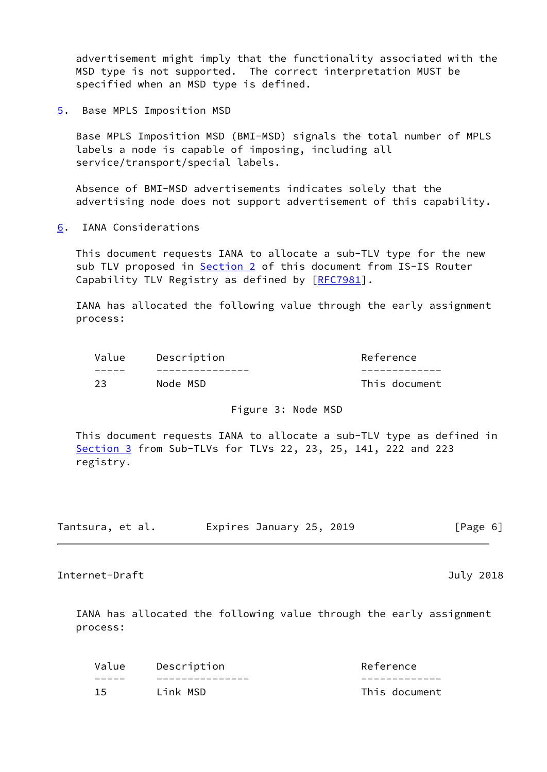advertisement might imply that the functionality associated with the MSD type is not supported. The correct interpretation MUST be specified when an MSD type is defined.

<span id="page-6-0"></span>[5](#page-6-0). Base MPLS Imposition MSD

 Base MPLS Imposition MSD (BMI-MSD) signals the total number of MPLS labels a node is capable of imposing, including all service/transport/special labels.

 Absence of BMI-MSD advertisements indicates solely that the advertising node does not support advertisement of this capability.

<span id="page-6-1"></span>[6](#page-6-1). IANA Considerations

 This document requests IANA to allocate a sub-TLV type for the new sub TLV proposed in [Section 2](#page-3-1) of this document from IS-IS Router Capability TLV Registry as defined by [[RFC7981](https://datatracker.ietf.org/doc/pdf/rfc7981)].

 IANA has allocated the following value through the early assignment process:

| Value | Description | Reference     |
|-------|-------------|---------------|
|       |             |               |
| 23    | Node MSD    | This document |

### Figure 3: Node MSD

 This document requests IANA to allocate a sub-TLV type as defined in [Section 3](#page-4-0) from Sub-TLVs for TLVs 22, 23, 25, 141, 222 and 223 registry.

| Tantsura, et al. | Expires January 25, 2019 | [Page 6] |
|------------------|--------------------------|----------|
|------------------|--------------------------|----------|

<span id="page-6-2"></span>Internet-Draft July 2018

 IANA has allocated the following value through the early assignment process:

| Value | Description | Reference     |
|-------|-------------|---------------|
|       |             |               |
| 15    | Link MSD    | This document |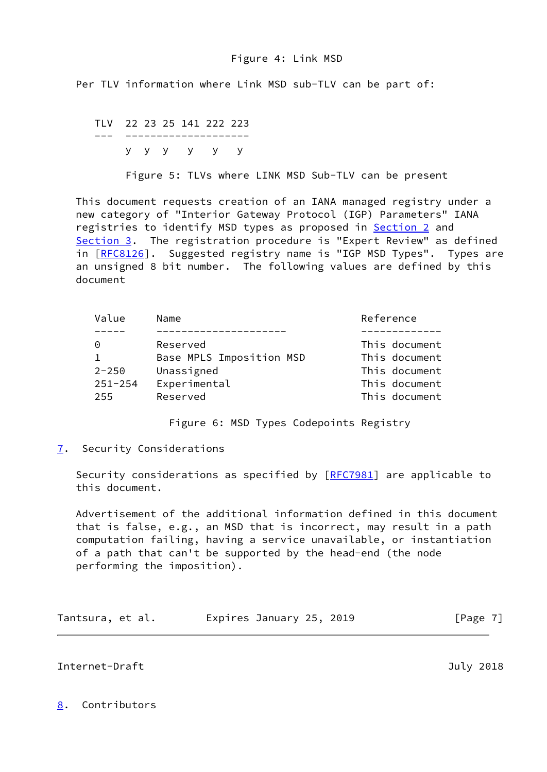### Figure 4: Link MSD

Per TLV information where Link MSD sub-TLV can be part of:

 TLV 22 23 25 141 222 223 --- ------------------- y y y y y y

Figure 5: TLVs where LINK MSD Sub-TLV can be present

 This document requests creation of an IANA managed registry under a new category of "Interior Gateway Protocol (IGP) Parameters" IANA registries to identify MSD types as proposed in **Section 2** and [Section 3](#page-4-0). The registration procedure is "Expert Review" as defined in [[RFC8126\]](https://datatracker.ietf.org/doc/pdf/rfc8126). Suggested registry name is "IGP MSD Types". Types are an unsigned 8 bit number. The following values are defined by this document

| Value       | Name                     | Reference     |
|-------------|--------------------------|---------------|
|             |                          |               |
| 0           | Reserved                 | This document |
|             | Base MPLS Imposition MSD | This document |
| $2 - 250$   | Unassigned               | This document |
| $251 - 254$ | Experimental             | This document |
| 255         | Reserved                 | This document |
|             |                          |               |

Figure 6: MSD Types Codepoints Registry

<span id="page-7-0"></span>[7](#page-7-0). Security Considerations

Security considerations as specified by [\[RFC7981](https://datatracker.ietf.org/doc/pdf/rfc7981)] are applicable to this document.

 Advertisement of the additional information defined in this document that is false, e.g., an MSD that is incorrect, may result in a path computation failing, having a service unavailable, or instantiation of a path that can't be supported by the head-end (the node performing the imposition).

| Tantsura, et al. |  | Expires January 25, 2019 | [Page 7] |
|------------------|--|--------------------------|----------|
|------------------|--|--------------------------|----------|

### <span id="page-7-2"></span>Internet-Draft July 2018

# <span id="page-7-1"></span>[8](#page-7-1). Contributors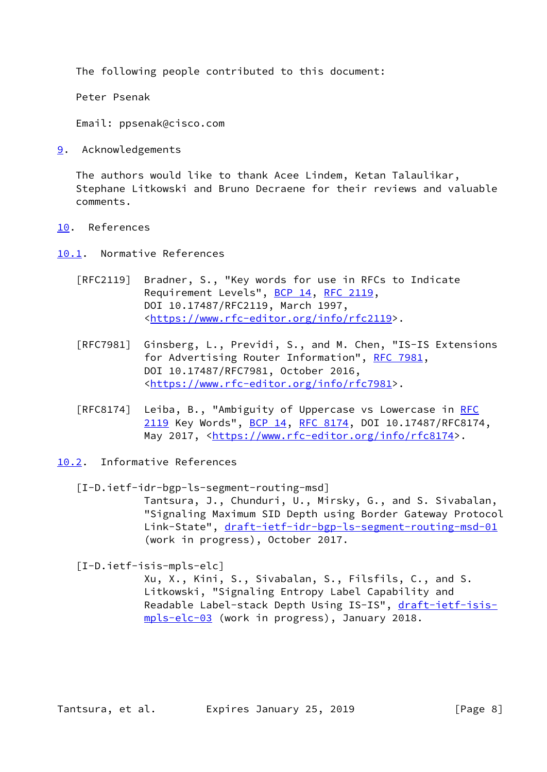The following people contributed to this document:

Peter Psenak

Email: ppsenak@cisco.com

<span id="page-8-0"></span>[9](#page-8-0). Acknowledgements

 The authors would like to thank Acee Lindem, Ketan Talaulikar, Stephane Litkowski and Bruno Decraene for their reviews and valuable comments.

- <span id="page-8-1"></span>[10.](#page-8-1) References
- <span id="page-8-2"></span>[10.1](#page-8-2). Normative References
	- [RFC2119] Bradner, S., "Key words for use in RFCs to Indicate Requirement Levels", [BCP 14](https://datatracker.ietf.org/doc/pdf/bcp14), [RFC 2119](https://datatracker.ietf.org/doc/pdf/rfc2119), DOI 10.17487/RFC2119, March 1997, <[https://www.rfc-editor.org/info/rfc2119>](https://www.rfc-editor.org/info/rfc2119).
	- [RFC7981] Ginsberg, L., Previdi, S., and M. Chen, "IS-IS Extensions for Advertising Router Information", [RFC 7981](https://datatracker.ietf.org/doc/pdf/rfc7981), DOI 10.17487/RFC7981, October 2016, <[https://www.rfc-editor.org/info/rfc7981>](https://www.rfc-editor.org/info/rfc7981).
	- [RFC8174] Leiba, B., "Ambiguity of Uppercase vs Lowercase in [RFC](https://datatracker.ietf.org/doc/pdf/rfc2119) [2119](https://datatracker.ietf.org/doc/pdf/rfc2119) Key Words", [BCP 14](https://datatracker.ietf.org/doc/pdf/bcp14), [RFC 8174,](https://datatracker.ietf.org/doc/pdf/rfc8174) DOI 10.17487/RFC8174, May 2017, [<https://www.rfc-editor.org/info/rfc8174](https://www.rfc-editor.org/info/rfc8174)>.
- <span id="page-8-3"></span>[10.2](#page-8-3). Informative References

```
 [I-D.ietf-idr-bgp-ls-segment-routing-msd]
            Tantsura, J., Chunduri, U., Mirsky, G., and S. Sivabalan,
            "Signaling Maximum SID Depth using Border Gateway Protocol
            Link-State", draft-ietf-idr-bgp-ls-segment-routing-msd-01
            (work in progress), October 2017.
```
<span id="page-8-5"></span>[I-D.ietf-isis-mpls-elc]

 Xu, X., Kini, S., Sivabalan, S., Filsfils, C., and S. Litkowski, "Signaling Entropy Label Capability and Readable Label-stack Depth Using IS-IS", [draft-ietf-isis](https://datatracker.ietf.org/doc/pdf/draft-ietf-isis-mpls-elc-03) [mpls-elc-03](https://datatracker.ietf.org/doc/pdf/draft-ietf-isis-mpls-elc-03) (work in progress), January 2018.